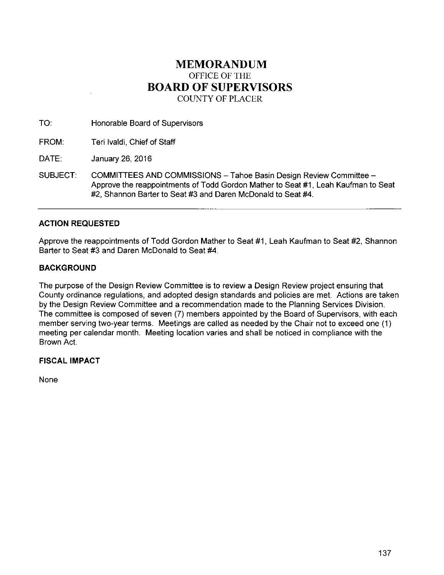# **MEMORANDUM**  OFFICE OF THE **BOARD OF SUPERVISORS**  COUNTY OF PLACER

TO: Honorable Board of Supervisors

FROM: Teri lvaldi, Chief of Staff

DATE: January 26, 2016

SUBJECT: COMMITTEES AND COMMISSIONS- Tahoe Basin Design Review Committee-Approve the reappointments of Todd Gordon Mather to Seat #1, Leah Kaufman to Seat #2, Shannon Barter to Seat #3 and Daren McDonald to Seat #4.

# **ACTION REQUESTED**

Approve the reappointments of Todd Gordon Mather to Seat #1, Leah Kaufman to Seat #2, Shannon Barter to Seat #3 and Daren McDonald to Seat #4.

## **BACKGROUND**

The purpose of the Design Review Committee is to review a Design Review project ensuring that County ordinance regulations, and adopted design standards and policies are met. Actions are taken by the Design Review Committee and a recommendation made to the Planning Services Division. The committee is composed of seven (7) members appointed by the Board of Supervisors, with each member serving two-year terms. Meetings are called as needed by the Chair not to exceed one (1) meeting per calendar month. Meeting location varies and shall be noticed in compliance with the Brown Act.

### **FISCAL IMPACT**

None